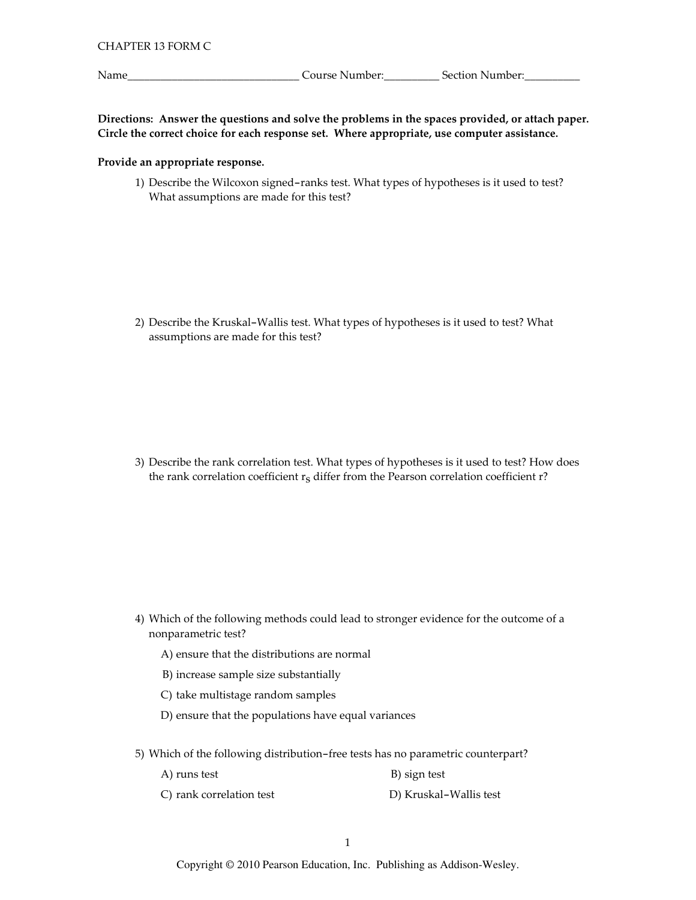Name\_

Directions: Answer the questions and solve the problems in the spaces provided, or attach paper. Circle the correct choice for each response set. Where appropriate, use computer assistance.

## Provide an appropriate response.

1) Describe the Wilcoxon signed-ranks test. What types of hypotheses is it used to test? What assumptions are made for this test?

2) Describe the Kruskal-Wallis test. What types of hypotheses is it used to test? What assumptions are made for this test?

3) Describe the rank correlation test. What types of hypotheses is it used to test? How does the rank correlation coefficient  $r<sub>S</sub>$  differ from the Pearson correlation coefficient r?

- 4) Which of the following methods could lead to stronger evidence for the outcome of a nonparametric test?
	- A) ensure that the distributions are normal
	- B) increase sample size substantially
	- C) take multistage random samples
	- D) ensure that the populations have equal variances
- 5) Which of the following distribution-free tests has no parametric counterpart?

| A) runs test | B) sign test |
|--------------|--------------|
|--------------|--------------|

C) rank correlation test D) Kruskal-Wallis test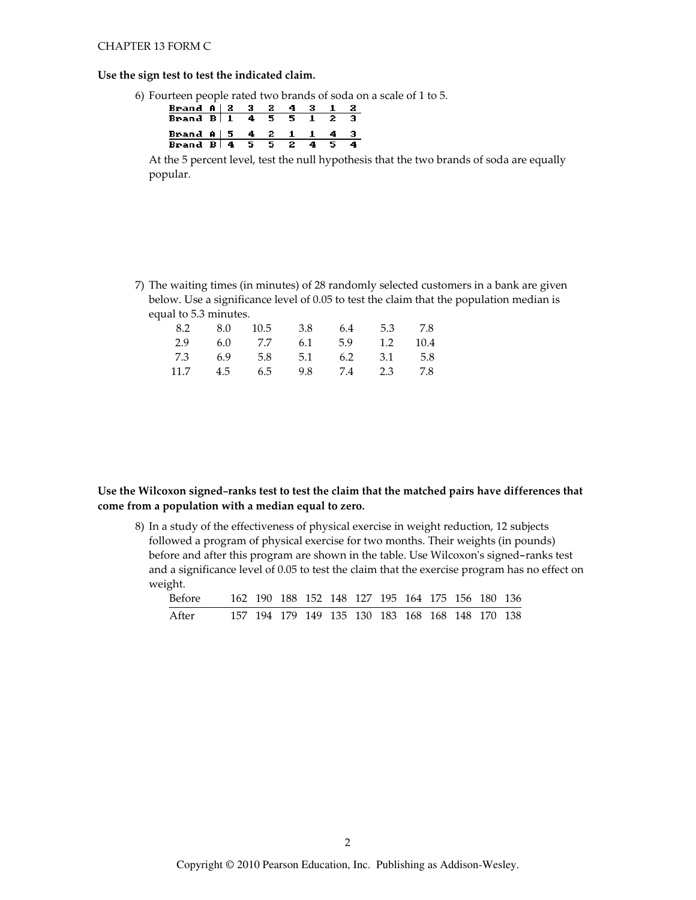#### CHAPTER 13 FORM C

#### Use the sign test to test the indicated claim.

6) Fourteen people rated two brands of soda on a scale of 1 to 5.

| Brand A   2 3 2 4 3 1 2                                |  |  |  |  |
|--------------------------------------------------------|--|--|--|--|
| Brand B 1 4 5 5 1 2 3                                  |  |  |  |  |
|                                                        |  |  |  |  |
| Brand A   5 4 2 1 1 4 3<br>Brand B $ 4\>5\>5\>2\>4\>5$ |  |  |  |  |

At the 5 percent level, test the null hypothesis that the two brands of soda are equally popular.

7) The waiting times (in minutes) of 28 randomly selected customers in a bank are given below. Use a significance level of 0.05 to test the claim that the population median is equal to 5.3 minutes.

|  | 8.2 8.0 10.5 3.8 6.4 5.3 7.8 |  |  |
|--|------------------------------|--|--|
|  | 2.9 6.0 7.7 6.1 5.9 1.2 10.4 |  |  |
|  | 7.3 6.9 5.8 5.1 6.2 3.1 5.8  |  |  |
|  | 11.7 4.5 6.5 9.8 7.4 2.3 7.8 |  |  |

## Use the Wilcoxon signed-ranks test to test the claim that the matched pairs have differences that come from a population with a median equal to zero.

8) In a study of the effectiveness of physical exercise in weight reduction, 12 subjects followed a program of physical exercise for two months. Their weights (in pounds) before and after this program are shown in the table. Use Wilcoxon's signed-ranks test and a significance level of 0.05 to test the claim that the exercise program has no effect on weight.

| Before |  |  |  |  |  | 162 190 188 152 148 127 195 164 175 156 180 136 |  |
|--------|--|--|--|--|--|-------------------------------------------------|--|
| After  |  |  |  |  |  | 157 194 179 149 135 130 183 168 168 148 170 138 |  |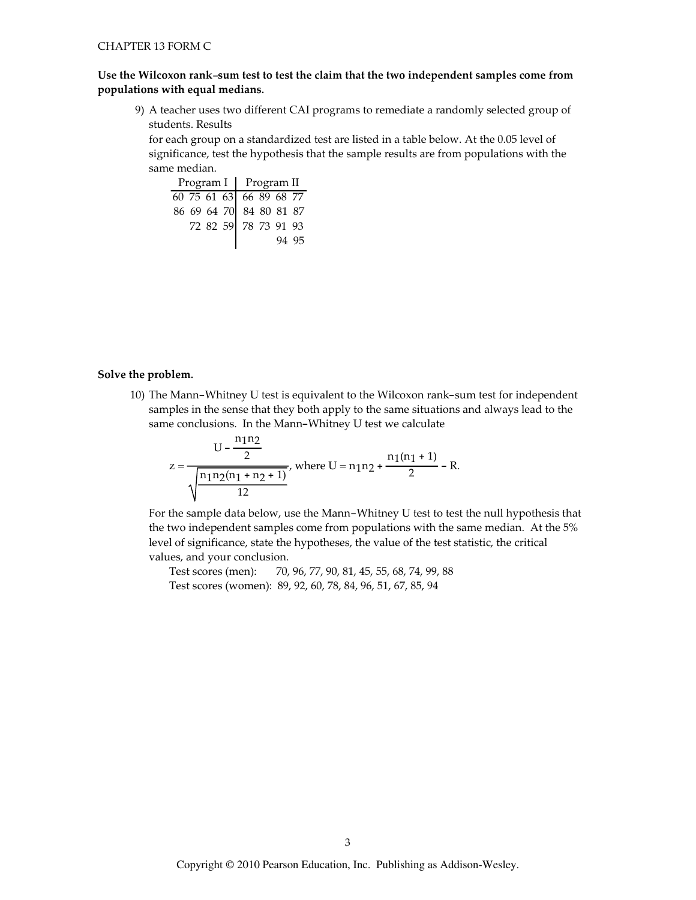## Use the Wilcoxon rank-sum test to test the claim that the two independent samples come from populations with equal medians.

9) A teacher uses two different CAI programs to remediate a randomly selected group of students. Results

for each group on a standardized test are listed in a table below. At the 0.05 level of significance, test the hypothesis that the sample results are from populations with the same median.

|                                                    |  | Program I   Program II |  |  |       |  |
|----------------------------------------------------|--|------------------------|--|--|-------|--|
|                                                    |  |                        |  |  |       |  |
| 60 75 61 63 66 89 68 77<br>86 69 64 70 84 80 81 87 |  |                        |  |  |       |  |
|                                                    |  | 72 82 59 78 73 91 93   |  |  |       |  |
|                                                    |  |                        |  |  | 94 95 |  |

#### Solve the problem.

10) The Mann-Whitney U test is equivalent to the Wilcoxon rank-sum test for independent samples in the sense that they both apply to the same situations and always lead to the same conclusions. In the Mann-Whitney U test we calculate

$$
z = \frac{U - \frac{n_1 n_2}{2}}{\sqrt{\frac{n_1 n_2 (n_1 + n_2 + 1)}{12}}}, \text{ where } U = n_1 n_2 + \frac{n_1 (n_1 + 1)}{2} - R.
$$

For the sample data below, use the Mann-Whitney U test to test the null hypothesis that the two independent samples come from populations with the same median. At the 5% level of significance, state the hypotheses, the value of the test statistic, the critical values, and your conclusion.

Test scores (men): 70, 96, 77, 90, 81, 45, 55, 68, 74, 99, 88 Test scores (women): 89, 92, 60, 78, 84, 96, 51, 67, 85, 94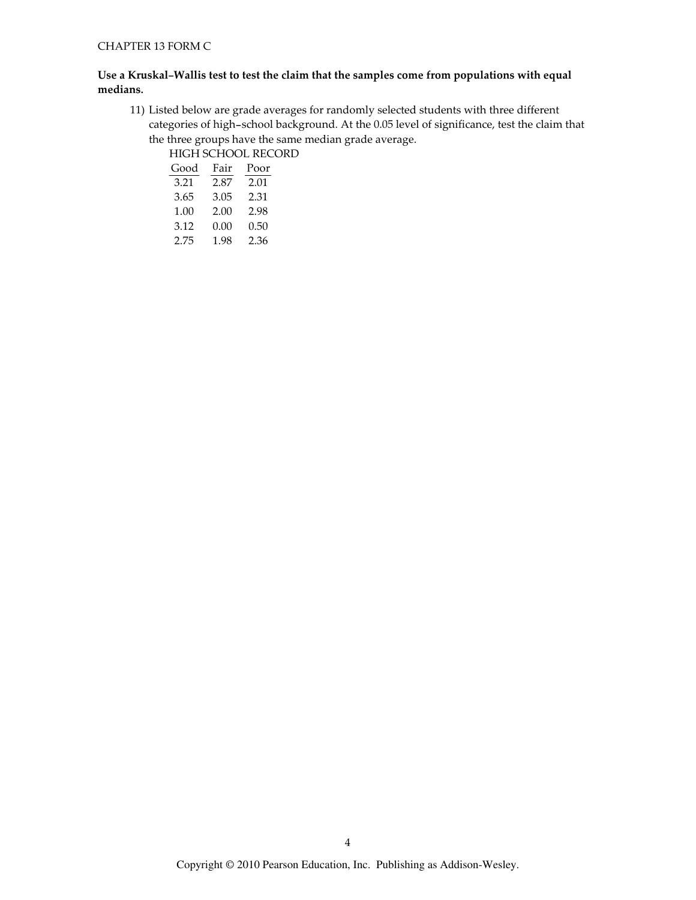## Use a Kruskal-Wallis test to test the claim that the samples come from populations with equal medians.

11) Listed below are grade averages for randomly selected students with three different categories of high-school background. At the 0.05 level of significance, test the claim that the three groups have the same median grade average.

HIGH SCHOOL RECORD

| Good | Fair | Poor |
|------|------|------|
| 3.21 | 2.87 | 2.01 |
| 3.65 | 3.05 | 2.31 |
| 1.00 | 2.00 | 2.98 |
| 3.12 | 0.00 | 0.50 |
| 2.75 | 1.98 | 2.36 |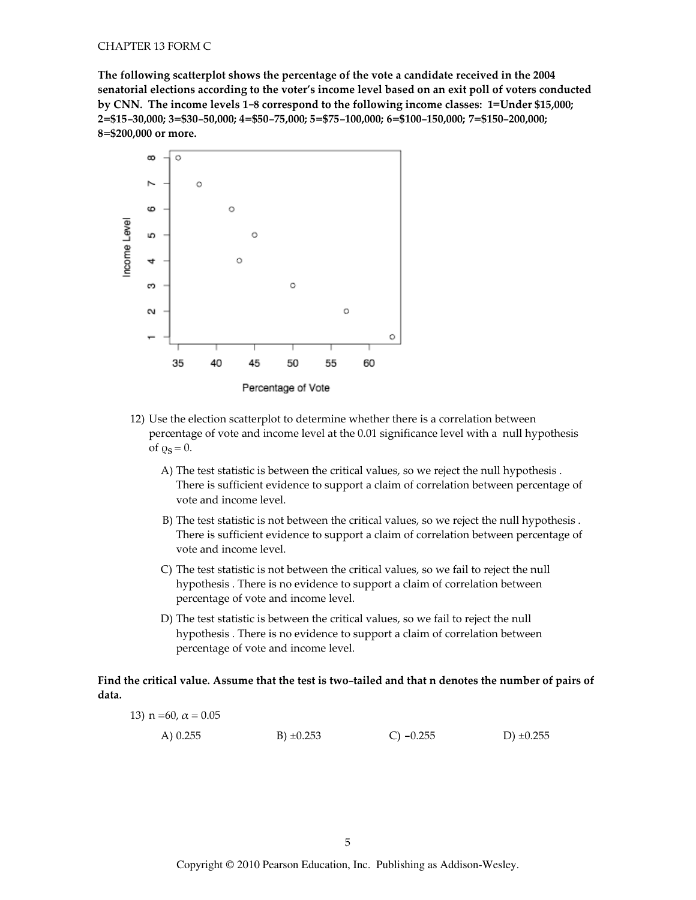The following scatterplot shows the percentage of the vote a candidate received in the 2004 senatorial elections according to the voter's income level based on an exit poll of voters conducted by CNN. The income levels 1-8 correspond to the following income classes: 1=Under \$15,000; 2=\$15-30,000; 3=\$30-50,000; 4=\$50-75,000; 5=\$75-100,000; 6=\$100-150,000; 7=\$150-200,000; 8=\$200,000 or more.



Percentage of Vote

- 12) Use the election scatterplot to determine whether there is a correlation between percentage of vote and income level at the 0.01 significance level with a null hypothesis of  $\varrho_S = 0$ .
	- A) The test statistic is between the critical values, so we reject the null hypothesis. There is sufficient evidence to support a claim of correlation between percentage of vote and income level.
	- B) The test statistic is not between the critical values, so we reject the null hypothesis. There is sufficient evidence to support a claim of correlation between percentage of vote and income level.
	- C) The test statistic is not between the critical values, so we fail to reject the null hypothesis. There is no evidence to support a claim of correlation between percentage of vote and income level.
	- D) The test statistic is between the critical values, so we fail to reject the null hypothesis. There is no evidence to support a claim of correlation between percentage of vote and income level.

## Find the critical value. Assume that the test is two-tailed and that n denotes the number of pairs of data.

| 13) $n = 60$ , $\alpha = 0.05$ |                |             |                |
|--------------------------------|----------------|-------------|----------------|
| A) 0.255                       | B) $\pm 0.253$ | C) $-0.255$ | D) $\pm 0.255$ |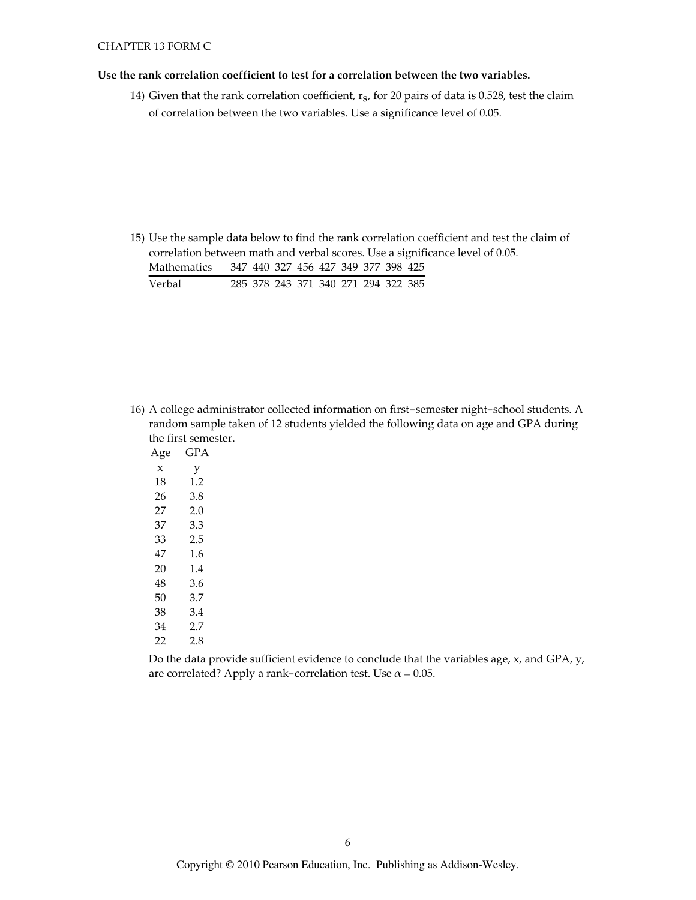#### Use the rank correlation coefficient to test for a correlation between the two variables.

14) Given that the rank correlation coefficient,  $r_S$ , for 20 pairs of data is 0.528, test the claim of correlation between the two variables. Use a significance level of 0.05.

15) Use the sample data below to find the rank correlation coefficient and test the claim of correlation between math and verbal scores. Use a significance level of 0.05. Mathematics 347 440 327 456 427 349 377 398 425 Verbal 285 378 243 371 340 271 294 322 385

16) A college administrator collected information on first-semester night-school students. A random sample taken of 12 students yielded the following data on age and GPA during the first semester.

| Age | GPA |
|-----|-----|
| x   | у   |
| 18  | 1.2 |
| 26  | 3.8 |
| 27  | 2.0 |
| 37  | 3.3 |
| 33  | 2.5 |
| 47  | 1.6 |
| 20  | 1.4 |
| 48  | 3.6 |
| 50  | 3.7 |
| 38  | 3.4 |
| 34  | 2.7 |
| 22  | 2.8 |
|     |     |

Do the data provide sufficient evidence to conclude that the variables age, x, and GPA, y, are correlated? Apply a rank-correlation test. Use  $\alpha$  = 0.05.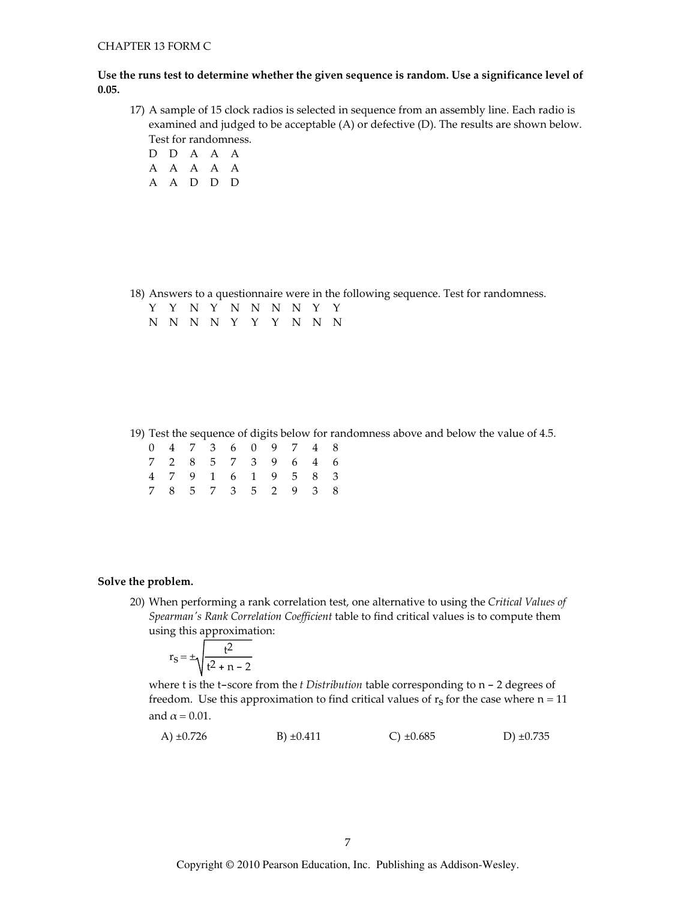### Use the runs test to determine whether the given sequence is random. Use a significance level of  $0.05.$

- 17) A sample of 15 clock radios is selected in sequence from an assembly line. Each radio is examined and judged to be acceptable (A) or defective (D). The results are shown below. Test for randomness.
	- D D A A A A A A A A A A D D D

18) Answers to a questionnaire were in the following sequence. Test for randomness.

|  |  |  |  | Y Y N Y N N N N Y Y |  |
|--|--|--|--|---------------------|--|
|  |  |  |  | N N N N Y Y Y N N N |  |

19) Test the sequence of digits below for randomness above and below the value of 4.5.

|  |  | 0 4 7 3 6 0 9 7 4 8 |  |  |
|--|--|---------------------|--|--|
|  |  | 7 2 8 5 7 3 9 6 4 6 |  |  |
|  |  | 4 7 9 1 6 1 9 5 8 3 |  |  |
|  |  | 7 8 5 7 3 5 2 9 3 8 |  |  |

#### Solve the problem.

20) When performing a rank correlation test, one alternative to using the Critical Values of Spearman's Rank Correlation Coefficient table to find critical values is to compute them using this approximation:

$$
r_S = \pm \sqrt{\frac{t^2}{t^2 + n - 2}}
$$

where  $t$  is the  $t$ -score from the  $t$  Distribution table corresponding to  $n - 2$  degrees of freedom. Use this approximation to find critical values of  $r_s$  for the case where  $n = 11$ and  $\alpha$  = 0.01.

| A) $\pm 0.726$ | $B) \pm 0.411$ | C) $\pm 0.685$ | D) $\pm 0.735$ |
|----------------|----------------|----------------|----------------|
|----------------|----------------|----------------|----------------|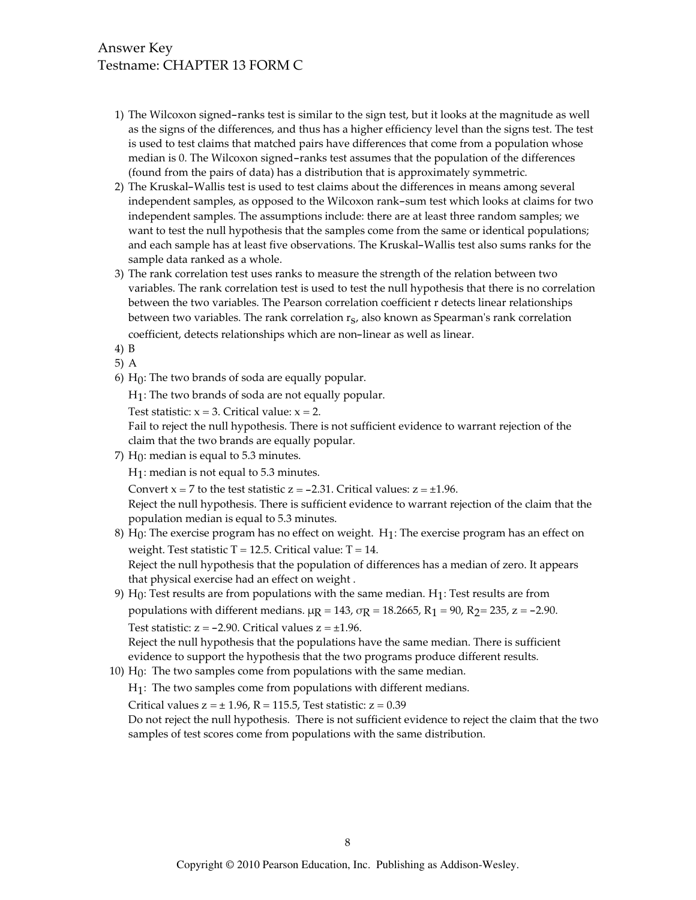# Answer Key Testname: CHAPTER 13 FORM C

- 1) The Wilcoxon signed-ranks test is similar to the sign test, but it looks at the magnitude as well as the signs of the differences, and thus has a higher efficiency level than the signs test. The test is used to test claims that matched pairs have differences that come from a population whose median is 0. The Wilcoxon signed-ranks test assumes that the population of the differences (found from the pairs of data) has a distribution that is approximately symmetric.
- 2) The Kruskal-Wallis test is used to test claims about the differences in means among several independent samples, as opposed to the Wilcoxon rank-sum test which looks at claims for two independent samples. The assumptions include: there are at least three random samples; we want to test the null hypothesis that the samples come from the same or identical populations; and each sample has at least five observations. The Kruskal-Wallis test also sums ranks for the sample data ranked as a whole.
- 3) The rank correlation test uses ranks to measure the strength of the relation between two variables. The rank correlation test is used to test the null hypothesis that there is no correlation between the two variables. The Pearson correlation coefficient r detects linear relationships between two variables. The rank correlation  $r<sub>S</sub>$ , also known as Spearman's rank correlation coefficient, detects relationships which are non-linear as well as linear.
- 4) B
- $5)$  A
- 6)  $H_0$ : The two brands of soda are equally popular.

 $H_1$ : The two brands of soda are not equally popular.

Test statistic:  $x = 3$ . Critical value:  $x = 2$ .

Fail to reject the null hypothesis. There is not sufficient evidence to warrant rejection of the claim that the two brands are equally popular.

7)  $H_0$ : median is equal to 5.3 minutes.

 $H_1$ : median is not equal to 5.3 minutes.

Convert  $x = 7$  to the test statistic  $z = -2.31$ . Critical values:  $z = \pm 1.96$ .

Reject the null hypothesis. There is sufficient evidence to warrant rejection of the claim that the population median is equal to 5.3 minutes.

- 8)  $H_0$ : The exercise program has no effect on weight.  $H_1$ : The exercise program has an effect on weight. Test statistic  $T = 12.5$ . Critical value:  $T = 14$ . Reject the null hypothesis that the population of differences has a median of zero. It appears that physical exercise had an effect on weight.
- 9)  $H_0$ : Test results are from populations with the same median.  $H_1$ : Test results are from populations with different medians.  $\mu$ g = 143,  $\sigma$ g = 18.2665, R<sub>1</sub> = 90, R<sub>2</sub> = 235, z = -2.90. Test statistic:  $z = -2.90$ . Critical values  $z = \pm 1.96$ . Reject the null hypothesis that the populations have the same median. There is sufficient
- evidence to support the hypothesis that the two programs produce different results.
- 10)  $H_0$ : The two samples come from populations with the same median.

 $H_1$ : The two samples come from populations with different medians.

Critical values  $z = \pm 1.96$ ,  $R = 115.5$ , Test statistic:  $z = 0.39$ 

Do not reject the null hypothesis. There is not sufficient evidence to reject the claim that the two samples of test scores come from populations with the same distribution.